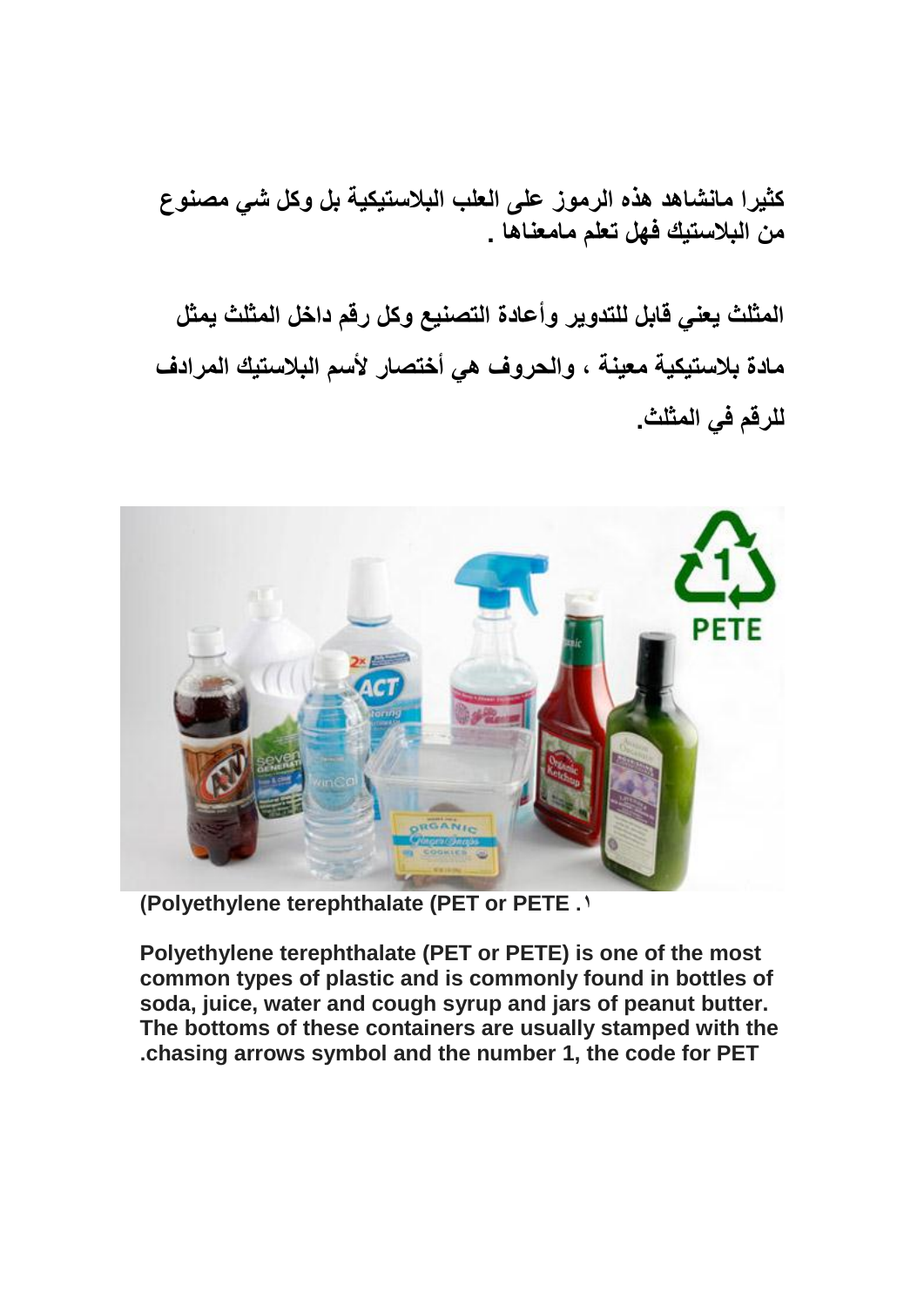**كثٌرا مانشاهد هذه الرموز على العلب البالستٌكٌة بل وكل شً مصنوع من البالستٌك فهل تعلم مامعناها .**

**المثلث ٌعنً قابل للتدوٌر وأعادة التصنٌع وكل رقم داخل المثلث ٌمثل مادة بالستٌكٌة معٌنة ، والحروف هً أختصار ألسم البالستٌك المرادف**  للرقم ف*ي* المثلث.



**)Polyethylene terephthalate (PET or PETE .1**

**Polyethylene terephthalate (PET or PETE) is one of the most common types of plastic and is commonly found in bottles of soda, juice, water and cough syrup and jars of peanut butter. The bottoms of these containers are usually stamped with the .chasing arrows symbol and the number 1, the code for PET**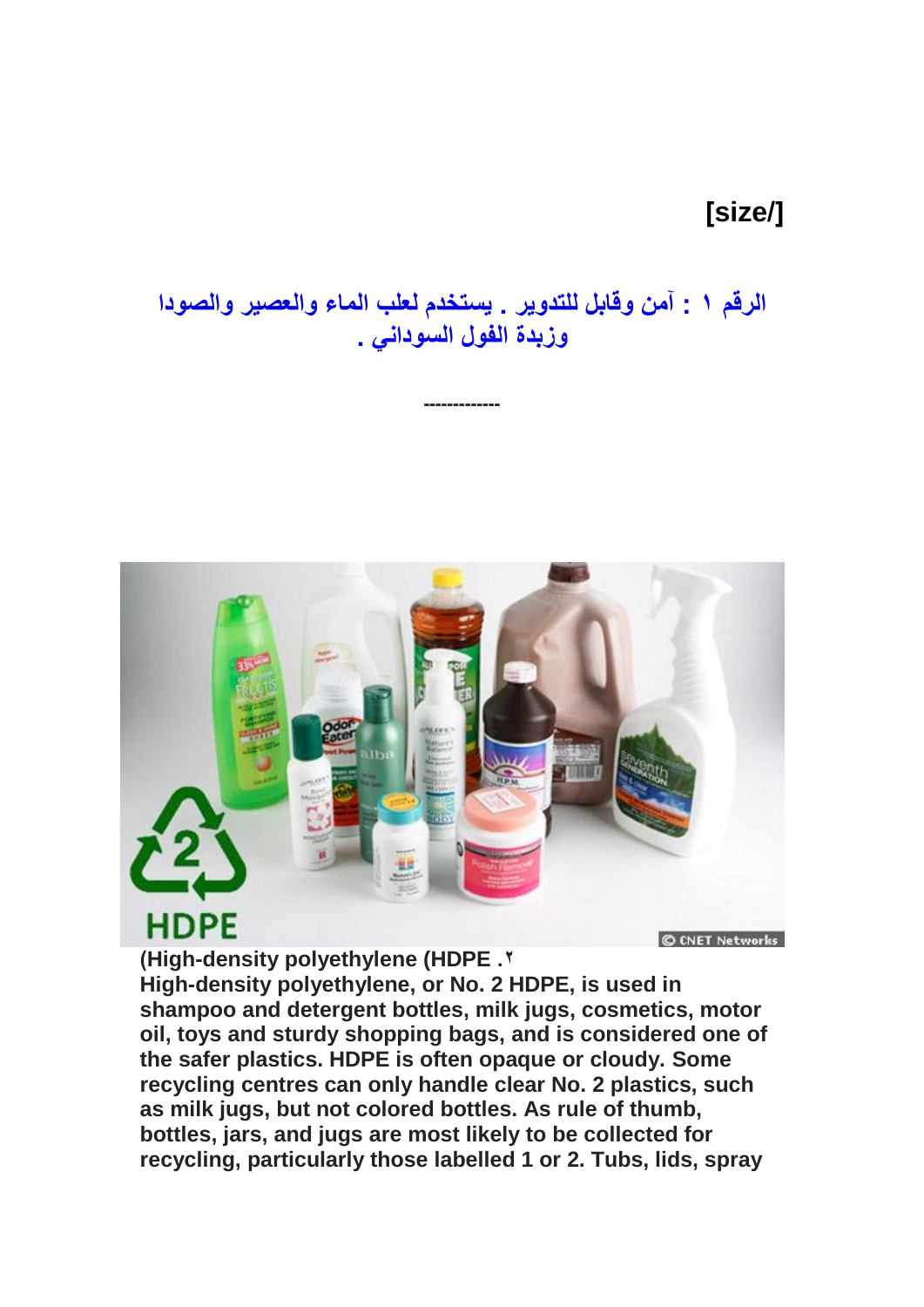## **]size/[**

**الرقم 1 : آمن وقابل للتدوٌر . ٌستخدم لعلب الماء والعصٌر والصودا وزبدة الفول السودانً .**

**-------------**



**)High-density polyethylene (HDPE .2**

© CNET Networks

**High-density polyethylene, or No. 2 HDPE, is used in shampoo and detergent bottles, milk jugs, cosmetics, motor oil, toys and sturdy shopping bags, and is considered one of the safer plastics. HDPE is often opaque or cloudy. Some recycling centres can only handle clear No. 2 plastics, such as milk jugs, but not colored bottles. As rule of thumb, bottles, jars, and jugs are most likely to be collected for recycling, particularly those labelled 1 or 2. Tubs, lids, spray**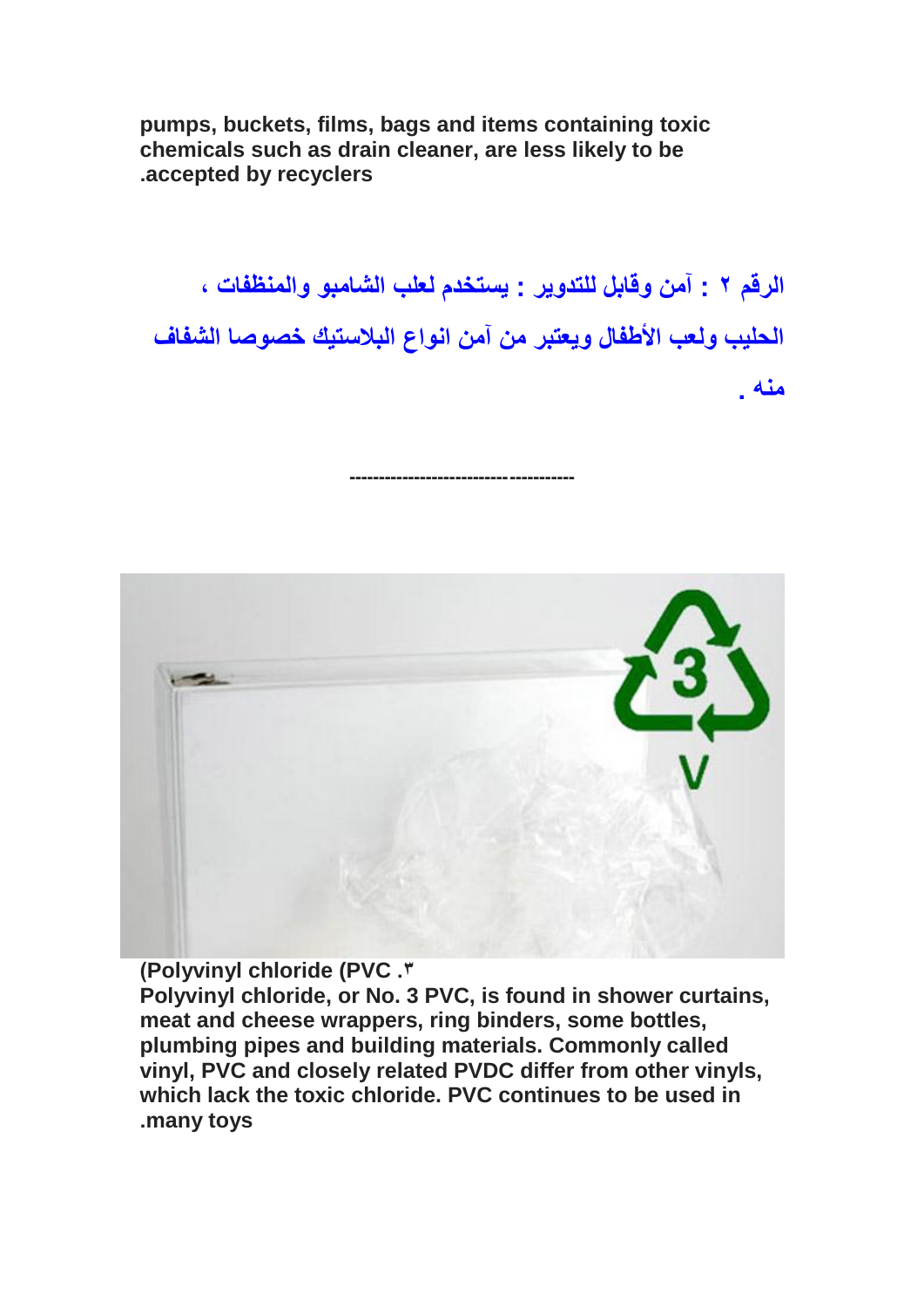**pumps, buckets, films, bags and items containing toxic chemicals such as drain cleaner, are less likely to be .accepted by recyclers**

**الرقم 2 : آمن وقابل للتدوٌر : ٌستخدم لعلب الشامبو والمنظفات ، الحلٌب ولعب األطفال وٌعتبر من آمن انواع البالستٌك خصوصا الشفاف منه .**

**--------------------------------------**



**)Polyvinyl chloride (PVC .3**

**Polyvinyl chloride, or No. 3 PVC, is found in shower curtains, meat and cheese wrappers, ring binders, some bottles, plumbing pipes and building materials. Commonly called vinyl, PVC and closely related PVDC differ from other vinyls, which lack the toxic chloride. PVC continues to be used in .many toys**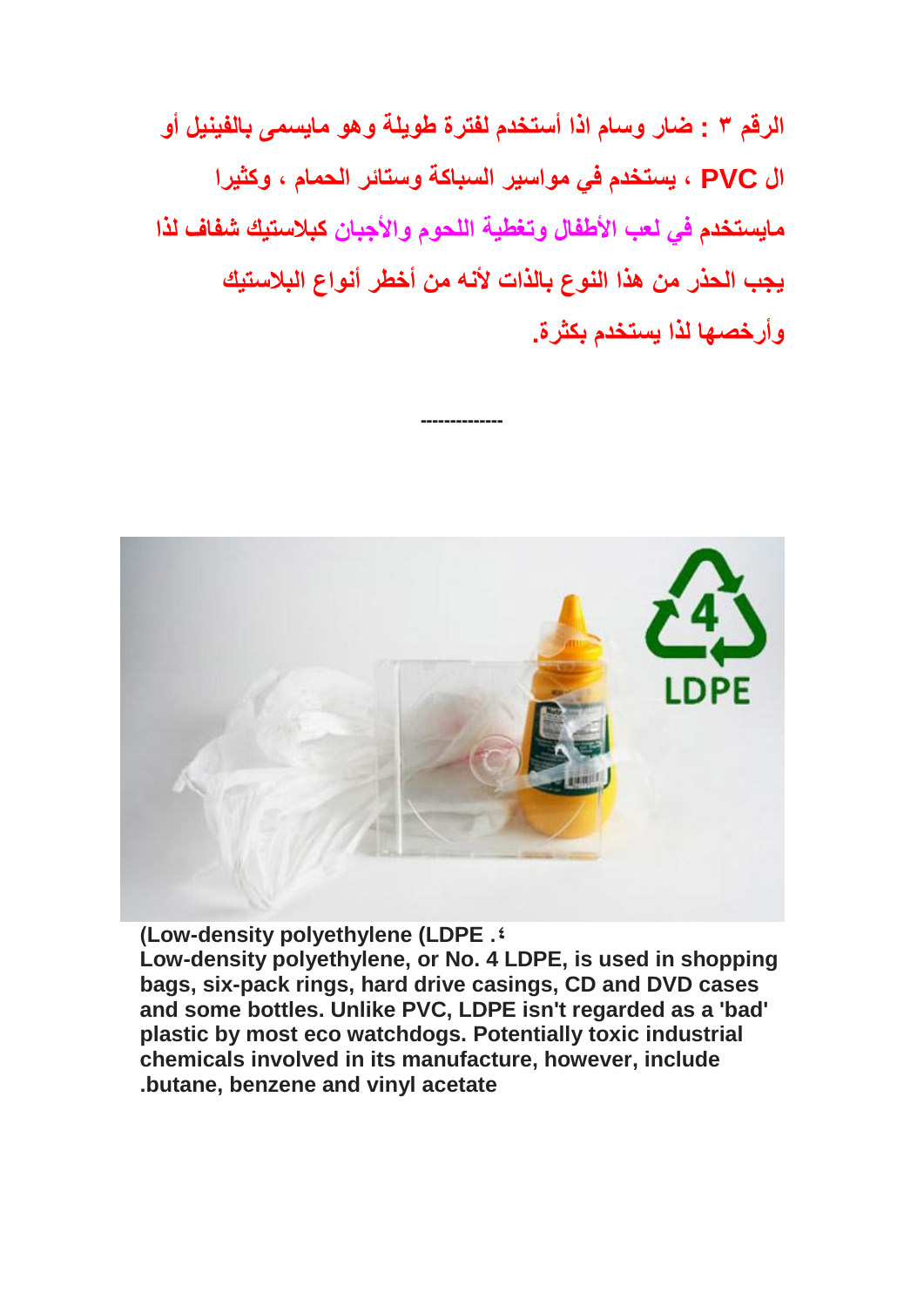**الرقم 3 : ضار وسام اذا أستخدم لفترة طوٌلة وهو ماٌسمى بالفٌنٌل أو ال PVC ، ٌستخدم فً مواسٌر السباكة وستائر الحمام ، وكثٌرا ماٌستخدم فً لعب األطفال وتغطٌة اللحوم واألجبان كبالستٌك شفاف لذا ٌجب الحذر من هذا النوع بالذات ألنه من أخطر أنواع البالستٌك وأرخصها لذا ٌستخدم بكثرة.**

**[-](http://dustbowl.files.wordpress.com/2008/06/plastic-4ldpe_main.jpg)-------------**



**)Low-density polyethylene (LDPE .4**

**Low-density polyethylene, or No. 4 LDPE, is used in shopping bags, six-pack rings, hard drive casings, CD and DVD cases and some bottles. Unlike PVC, LDPE isn't regarded as a 'bad' plastic by most eco watchdogs. Potentially toxic industrial chemicals involved in its manufacture, however, include .butane, benzene and vinyl acetate**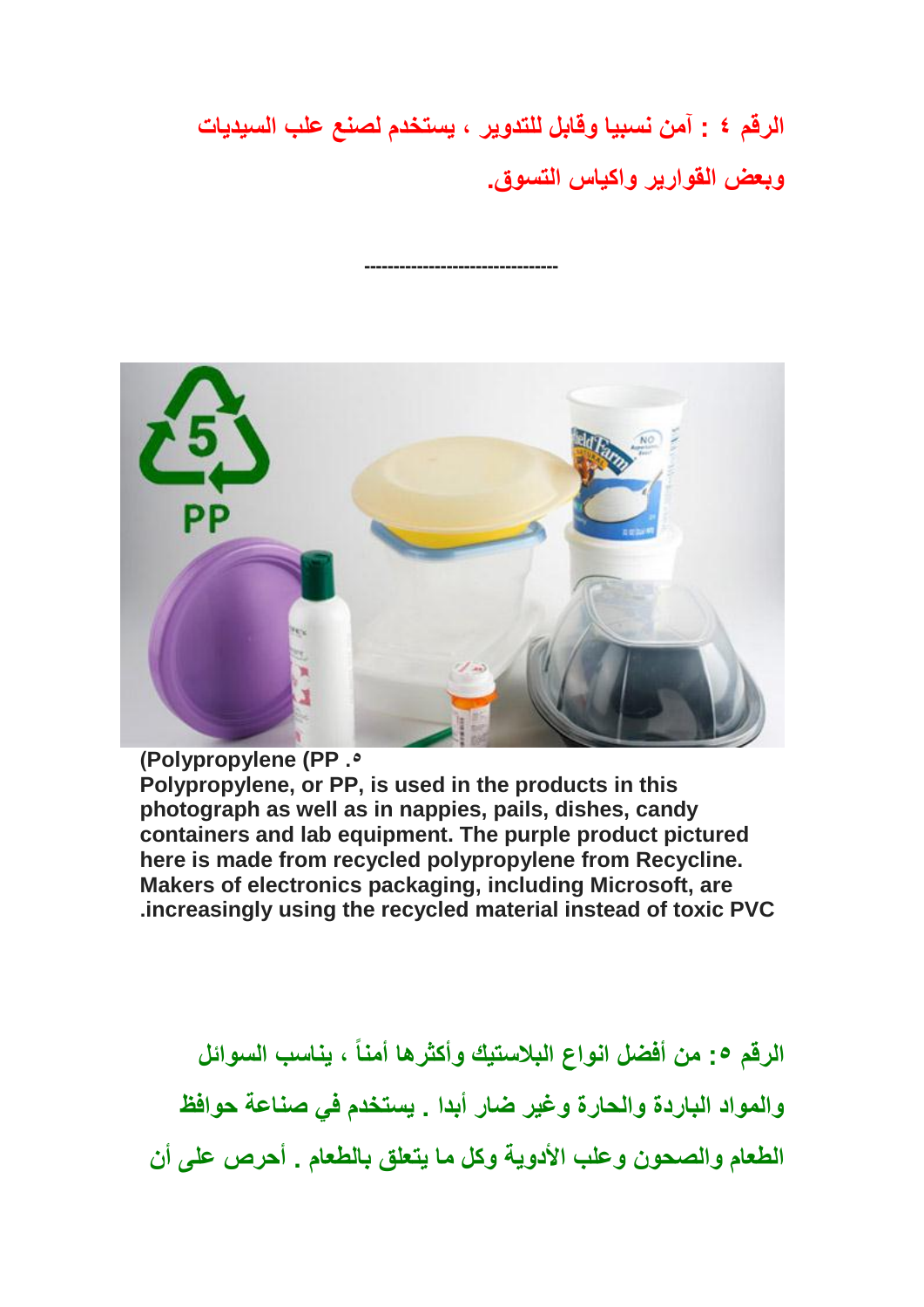**الرقم 4 : آمن نسبٌا وقابل للتدوٌر ، ٌستخدم لصنع علب السٌدٌات وبعض القوارٌر واكٌاس التسوق.**

**[-](http://dustbowl.files.wordpress.com/2008/06/plastic-5pp_main.jpg)--------------------------------**



## **)Polypropylene (PP .5**

**Polypropylene, or PP, is used in the products in this photograph as well as in nappies, pails, dishes, candy containers and lab equipment. The purple product pictured here is made from recycled polypropylene from Recycline. Makers of electronics packaging, including Microsoft, are .increasingly using the recycled material instead of toxic PVC**

**الرقم :5 من أفضل انواع البالستٌك وأكثرها أمناً ، ٌناسب السوائل والمواد الباردة والحارة وغٌر ضار أبدا . ٌستخدم فً صناعة حوافظ الطعام والصحون وعلب األدوٌة وكل ما ٌتعلق بالطعام . أحرص على أن**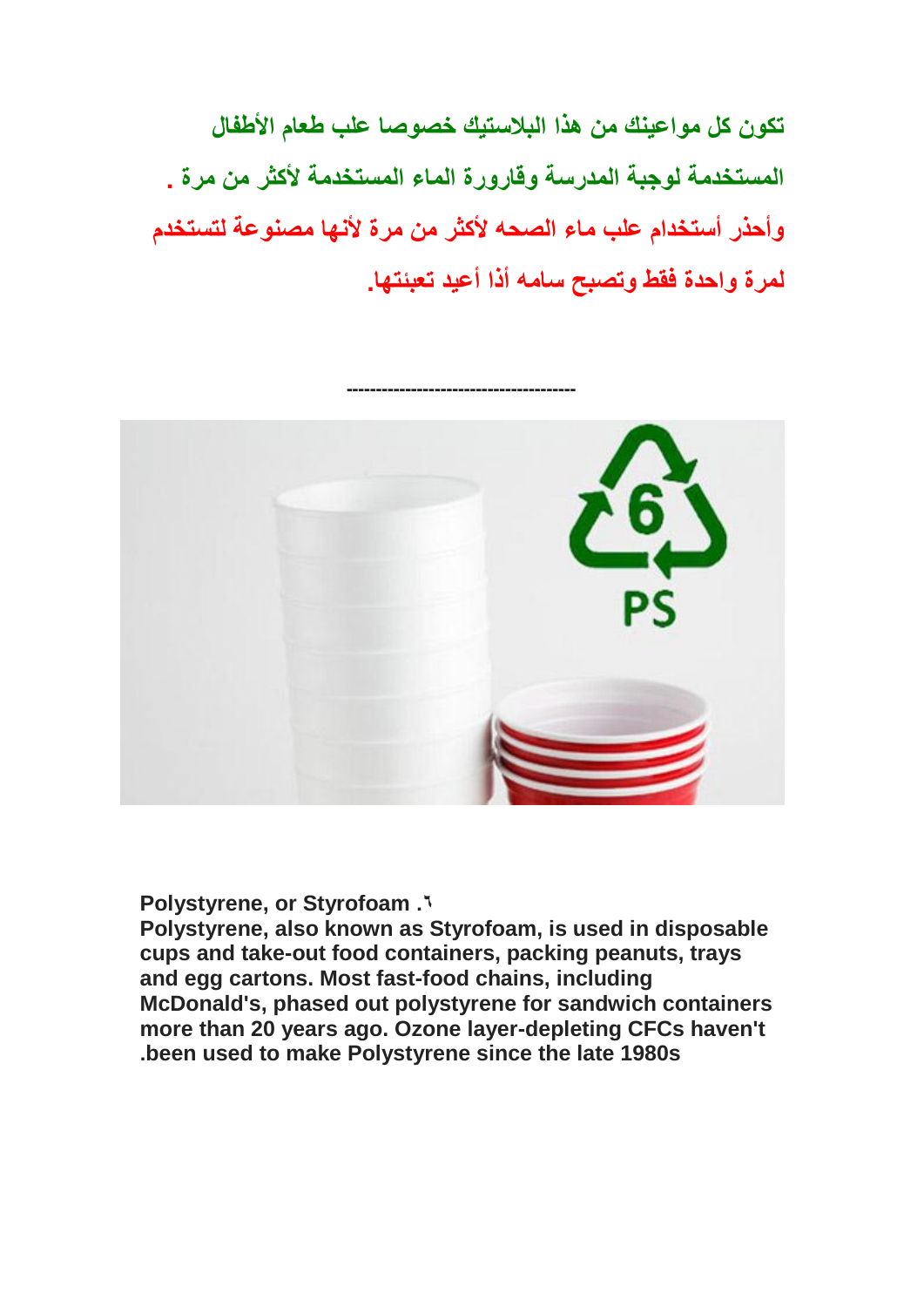**تكون كل مواعٌنك من هذا البالستٌك خصوصا علب طعام األطفال المستخدمة لوجبة المدرسة وقارورة الماء المستخدمة ألكثر من مرة . وأحذر أستخدام علب ماء الصحه ألكثر من مرة ألنها مصنوعة لتستخدم لمرة واحدة فقط وتصبح سامه أذا أعٌد تعبئتها.**



**Polystyrene, or Styrofoam .6**

**Polystyrene, also known as Styrofoam, is used in disposable cups and take-out food containers, packing peanuts, trays and egg cartons. Most fast-food chains, including McDonald's, phased out polystyrene for sandwich containers more than 20 years ago. Ozone layer-depleting CFCs haven't .been used to make Polystyrene since the late 1980s**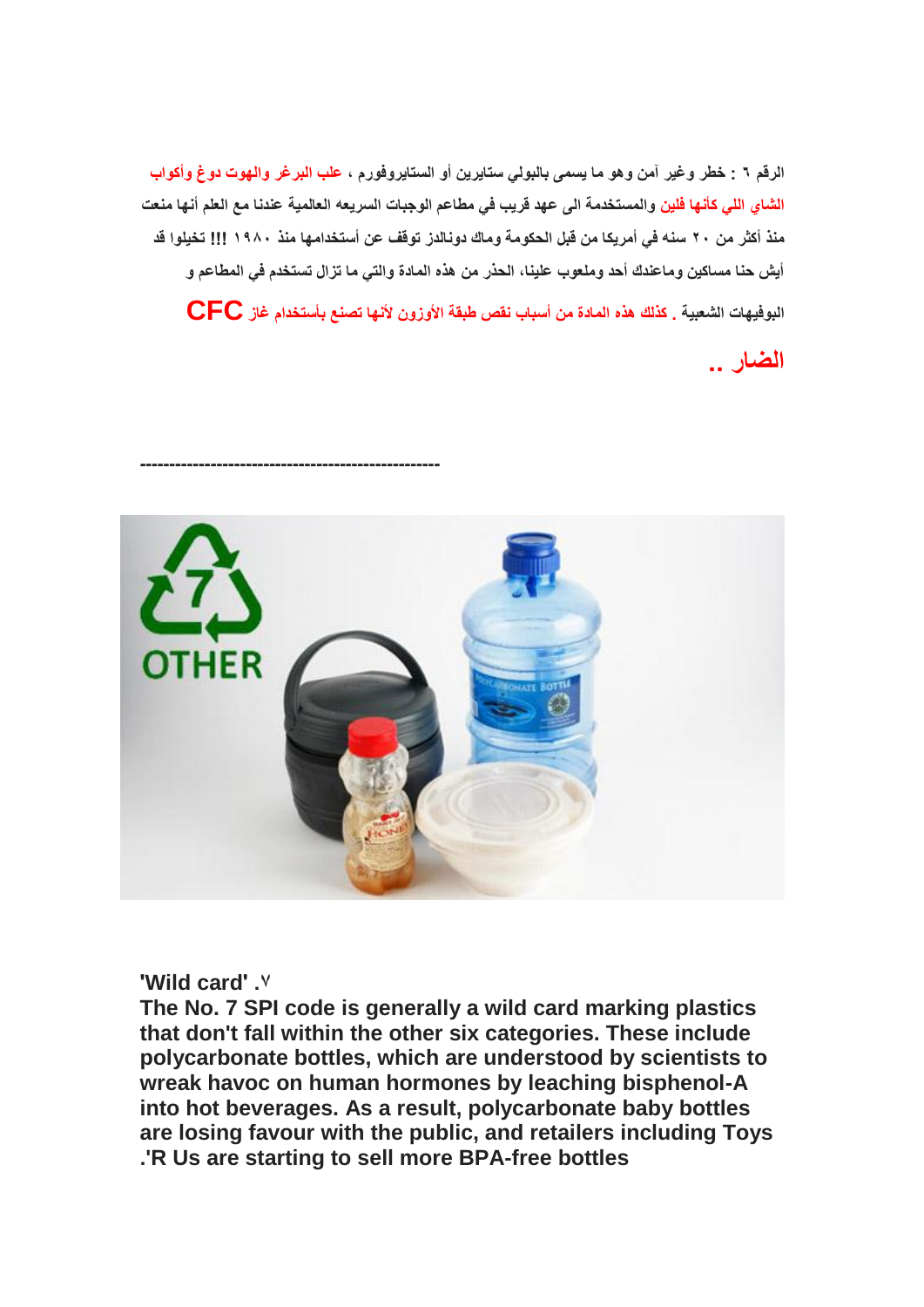الرقم ٦ : خطر وغير آمن وهو ما ي*سمى* بالبول*ي ست*ايرين أو الستايروفورم ، علب البرغر والهوت دوغ وأكواب **الشاي اللً كأنها فلٌن والمستخدمة الى عهد قرٌب فً مطاعم الوجبات السرٌعه العالمٌة عندنا مع العلم أنها منعت منذ أكثر من 22 سنه فً أمرٌكا من قبل الحكومة وماك دونالدز توقف عن أستخدامها منذ 1892 !!! تخٌلوا قد**  أيش حنا مساكين وماعندك أحد وملعوب علينا، الحذر من هذه المادة والت*ي* ما تزال تستخدم ف*ي* المطاعم و **البوفٌهات الشعبٌة . كذلك هذه المادة من أسباب نقص طبقة األوزون ألنها تصنع بأستخدام غاز CFC**

**الضار ..**



## **'Wild card' .7**

**[-](http://dustbowl.files.wordpress.com/2008/06/plastic-7other_main.jpg)--------------------------------------------------**

**The No. 7 SPI code is generally a wild card marking plastics that don't fall within the other six categories. These include polycarbonate bottles, which are understood by scientists to wreak havoc on human hormones by leaching bisphenol-A into hot beverages. As a result, polycarbonate baby bottles are losing favour with the public, and retailers including Toys .'R Us are starting to sell more BPA-free bottles**